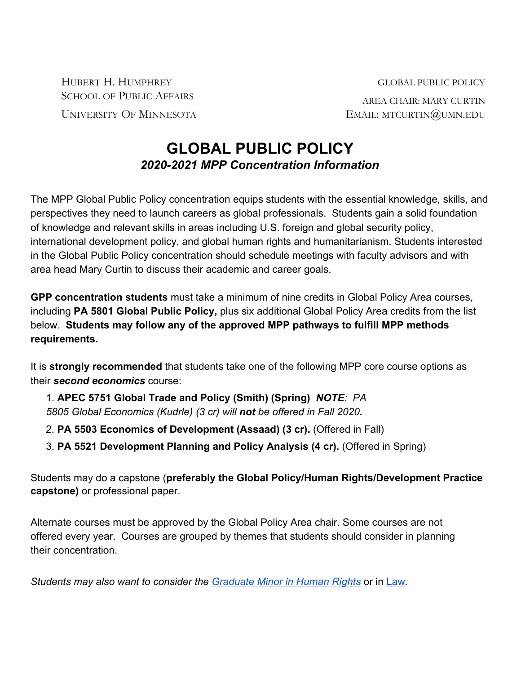HUBERT H. HUMPHREY GLOBAL PUBLIC POLICY SCHOOL OF PUBLIC AFFAIRS AREA CHAIR: MARY CURTIN UNIVERSITY OF MINNESOTA EMAIL: MTCURTIN@UMN.EDU

## **GLOBAL PUBLIC POLICY** *2020-2021 MPP Concentration Information*

The MPP Global Public Policy concentration equips students with the essential knowledge, skills, and perspectives they need to launch careers as global professionals. Students gain a solid foundation of knowledge and relevant skills in areas including U.S. foreign and global security policy, international development policy, and global human rights and humanitarianism. Students interested in the Global Public Policy concentration should schedule meetings with faculty advisors and with area head Mary Curtin to discuss their academic and career goals.

**GPP concentration students** must take a minimum of nine credits in Global Policy Area courses, including **PA 5801 Global Public Policy,** plus six additional Global Policy Area credits from the list below. **Students may follow any of the approved MPP pathways to fulfill MPP methods requirements.**

It is **strongly recommended** that students take one of the following MPP core course options as their *second economics* course:

1. **APEC 5751 Global Trade and Policy (Smith) (Spring)** *NOTE: PA 5805 Global Economics (Kudrle) (3 cr) will not be offered in Fall 2020.*

- 2. **PA 5503 Economics of Development (Assaad) (3 cr).** (Offered in Fall)
- 3. **PA 5521 Development Planning and Policy Analysis (4 cr).** (Offered in Spring)

Students may do a capstone (**preferably the Global Policy/Human Rights/Development Practice capstone)** or professional paper.

Alternate courses must be approved by the Global Policy Area chair. Some courses are not offered every year. Courses are grouped by themes that students should consider in planning their concentration.

*Students may also want to consider the [Graduate Minor in Human Rights](https://cla.umn.edu/human-rights/grad-minor-human-rights-program)* or in [Law](https://www.law.umn.edu/academics/non-degree-programs/graduate-and-undergraduate-courses)*.*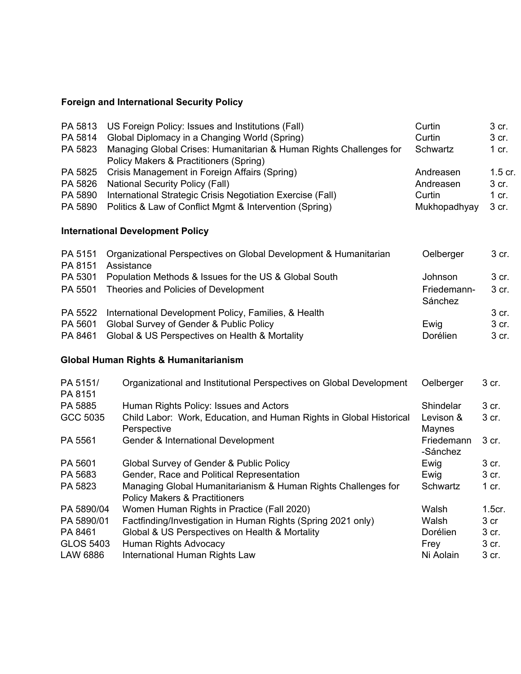## **Foreign and International Security Policy**

| PA 5813             | US Foreign Policy: Issues and Institutions (Fall)                                                            | Curtin       | 3 cr.   |
|---------------------|--------------------------------------------------------------------------------------------------------------|--------------|---------|
| PA 5814             | Global Diplomacy in a Changing World (Spring)                                                                | Curtin       | 3 cr.   |
| PA 5823             | Managing Global Crises: Humanitarian & Human Rights Challenges for<br>Policy Makers & Practitioners (Spring) | Schwartz     | $1$ cr. |
| PA 5825             | Crisis Management in Foreign Affairs (Spring)                                                                | Andreasen    | 1.5 cr. |
| PA 5826             | <b>National Security Policy (Fall)</b>                                                                       | Andreasen    | 3 cr.   |
| PA 5890             | International Strategic Crisis Negotiation Exercise (Fall)                                                   | Curtin       | $1$ cr. |
| PA 5890             | Politics & Law of Conflict Mgmt & Intervention (Spring)                                                      | Mukhopadhyay | 3 cr.   |
|                     | <b>International Development Policy</b>                                                                      |              |         |
| PA 5151<br>PA 8151  | Organizational Perspectives on Global Development & Humanitarian<br>Assistance                               | Oelberger    | 3 cr.   |
| PA 5301             | Population Methods & Issues for the US & Global South                                                        | Johnson      | 3 cr.   |
| PA 5501             | Theories and Policies of Development                                                                         | Friedemann-  | 3 cr.   |
|                     |                                                                                                              | Sánchez      |         |
| PA 5522             | International Development Policy, Families, & Health                                                         |              | 3 cr.   |
| PA 5601             | Global Survey of Gender & Public Policy                                                                      | Ewig         | 3 cr.   |
| PA 8461             | Global & US Perspectives on Health & Mortality                                                               | Dorélien     | 3 cr.   |
|                     | Global Human Rights & Humanitarianism                                                                        |              |         |
| PA 5151/<br>PA 8151 | Organizational and Institutional Perspectives on Global Development                                          | Oelberger    | 3 cr.   |
| PA 5885             | Human Rights Policy: Issues and Actors                                                                       | Shindelar    | 3 cr.   |
| GCC 5035            | Child Labor: Work, Education, and Human Rights in Global Historical                                          | Levison &    | 3 cr.   |
|                     | Perspective                                                                                                  | Maynes       |         |
| PA 5561             | Gender & International Development                                                                           | Friedemann   | 3 cr.   |
|                     |                                                                                                              | -Sánchez     |         |
| PA 5601             | Global Survey of Gender & Public Policy                                                                      | Ewig         | 3 cr.   |
| PA 5683             | Gender, Race and Political Representation                                                                    | Ewig         | 3 cr.   |
| PA 5823             | Managing Global Humanitarianism & Human Rights Challenges for                                                | Schwartz     | $1$ cr. |
|                     | <b>Policy Makers &amp; Practitioners</b>                                                                     |              |         |
| PA 5890/04          | Women Human Rights in Practice (Fall 2020)                                                                   | Walsh        | 1.5cr.  |
| PA 5890/01          | Factfinding/Investigation in Human Rights (Spring 2021 only)                                                 | Walsh        | 3 cr    |
| PA 8461             | Global & US Perspectives on Health & Mortality                                                               | Dorélien     | 3 cr.   |
| <b>GLOS 5403</b>    | Human Rights Advocacy                                                                                        | Frey         | 3 cr.   |
| <b>LAW 6886</b>     | International Human Rights Law                                                                               | Ni Aolain    | 3 cr.   |